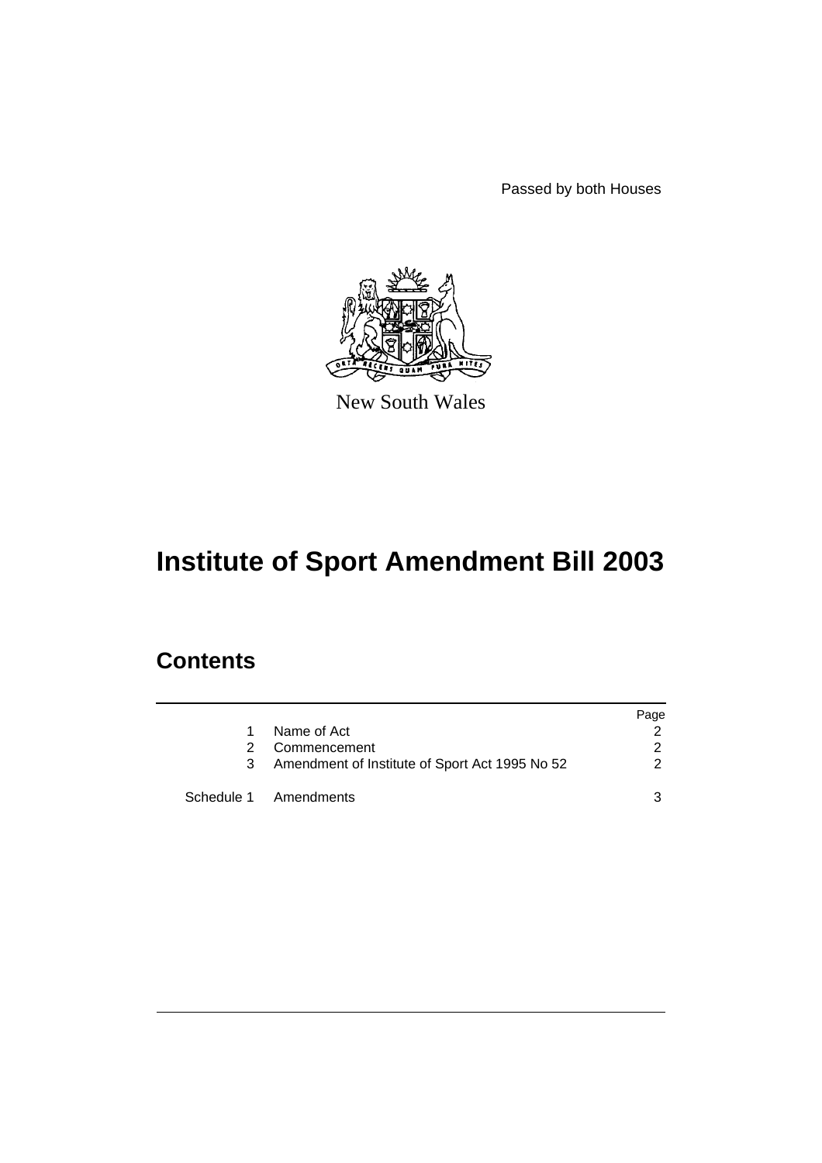Passed by both Houses



New South Wales

# **Institute of Sport Amendment Bill 2003**

## **Contents**

|               |                                                | Page          |
|---------------|------------------------------------------------|---------------|
| 1             | Name of Act                                    |               |
| $\mathcal{P}$ | Commencement                                   | $\mathcal{P}$ |
| 3             | Amendment of Institute of Sport Act 1995 No 52 | 2             |
|               | Schedule 1 Amendments                          | 3             |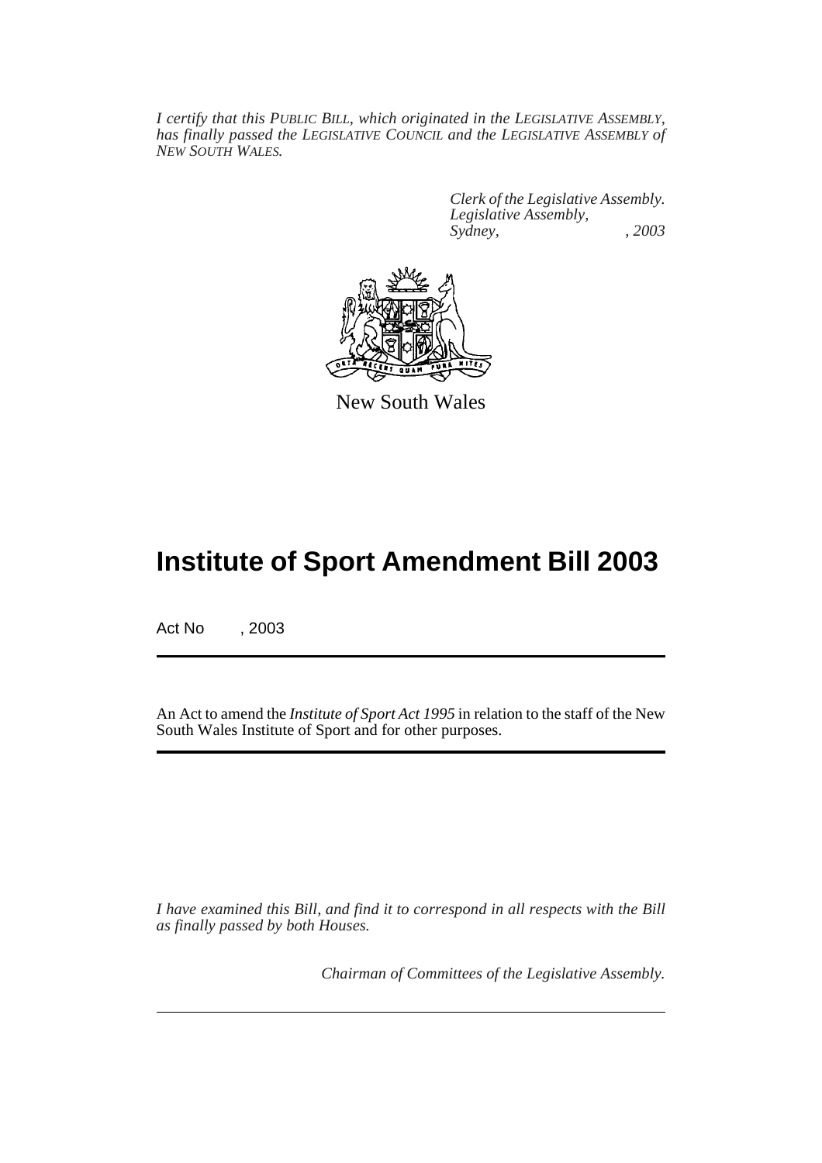*I certify that this PUBLIC BILL, which originated in the LEGISLATIVE ASSEMBLY, has finally passed the LEGISLATIVE COUNCIL and the LEGISLATIVE ASSEMBLY of NEW SOUTH WALES.*

> *Clerk of the Legislative Assembly. Legislative Assembly, Sydney, , 2003*



New South Wales

## **Institute of Sport Amendment Bill 2003**

Act No , 2003

An Act to amend the *Institute of Sport Act 1995* in relation to the staff of the New South Wales Institute of Sport and for other purposes.

*I have examined this Bill, and find it to correspond in all respects with the Bill as finally passed by both Houses.*

*Chairman of Committees of the Legislative Assembly.*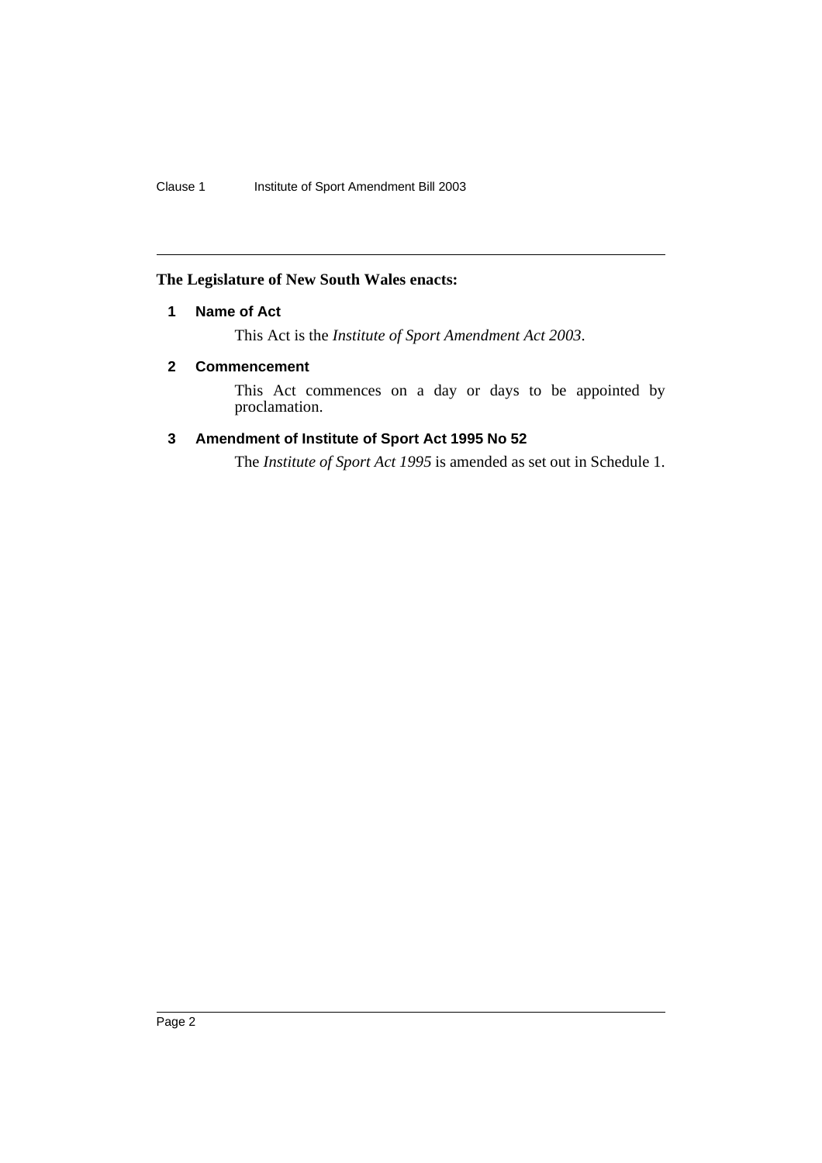#### **The Legislature of New South Wales enacts:**

#### **1 Name of Act**

This Act is the *Institute of Sport Amendment Act 2003*.

#### **2 Commencement**

This Act commences on a day or days to be appointed by proclamation.

### **3 Amendment of Institute of Sport Act 1995 No 52**

The *Institute of Sport Act 1995* is amended as set out in Schedule 1.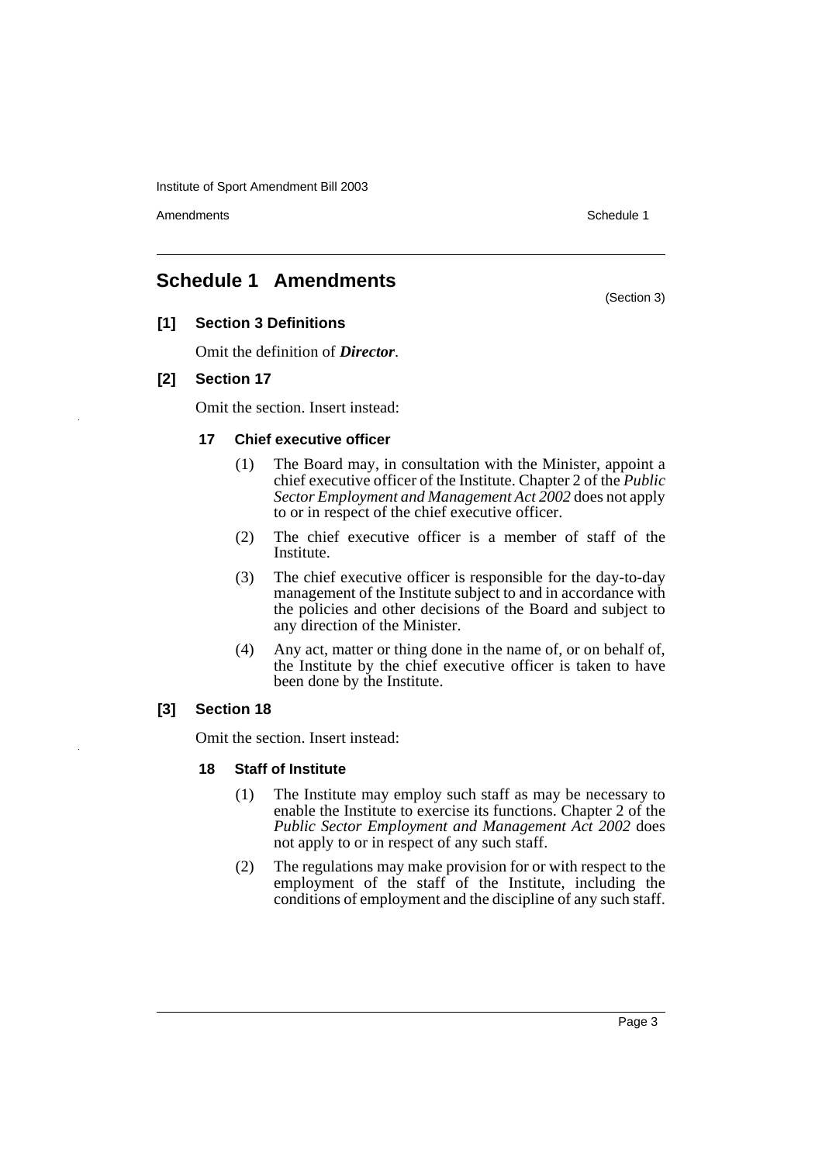Institute of Sport Amendment Bill 2003

Amendments **Schedule 1** and the set of the set of the set of the set of the set of the set of the set of the set of the set of the set of the set of the set of the set of the set of the set of the set of the set of the set

(Section 3)

## **Schedule 1 Amendments**

#### **[1] Section 3 Definitions**

Omit the definition of *Director*.

#### **[2] Section 17**

Omit the section. Insert instead:

#### **17 Chief executive officer**

- (1) The Board may, in consultation with the Minister, appoint a chief executive officer of the Institute. Chapter 2 of the *Public Sector Employment and Management Act 2002* does not apply to or in respect of the chief executive officer.
- (2) The chief executive officer is a member of staff of the Institute.
- (3) The chief executive officer is responsible for the day-to-day management of the Institute subject to and in accordance with the policies and other decisions of the Board and subject to any direction of the Minister.
- (4) Any act, matter or thing done in the name of, or on behalf of, the Institute by the chief executive officer is taken to have been done by the Institute.

#### **[3] Section 18**

Omit the section. Insert instead:

#### **18 Staff of Institute**

- (1) The Institute may employ such staff as may be necessary to enable the Institute to exercise its functions. Chapter 2 of the *Public Sector Employment and Management Act 2002* does not apply to or in respect of any such staff.
- (2) The regulations may make provision for or with respect to the employment of the staff of the Institute, including the conditions of employment and the discipline of any such staff.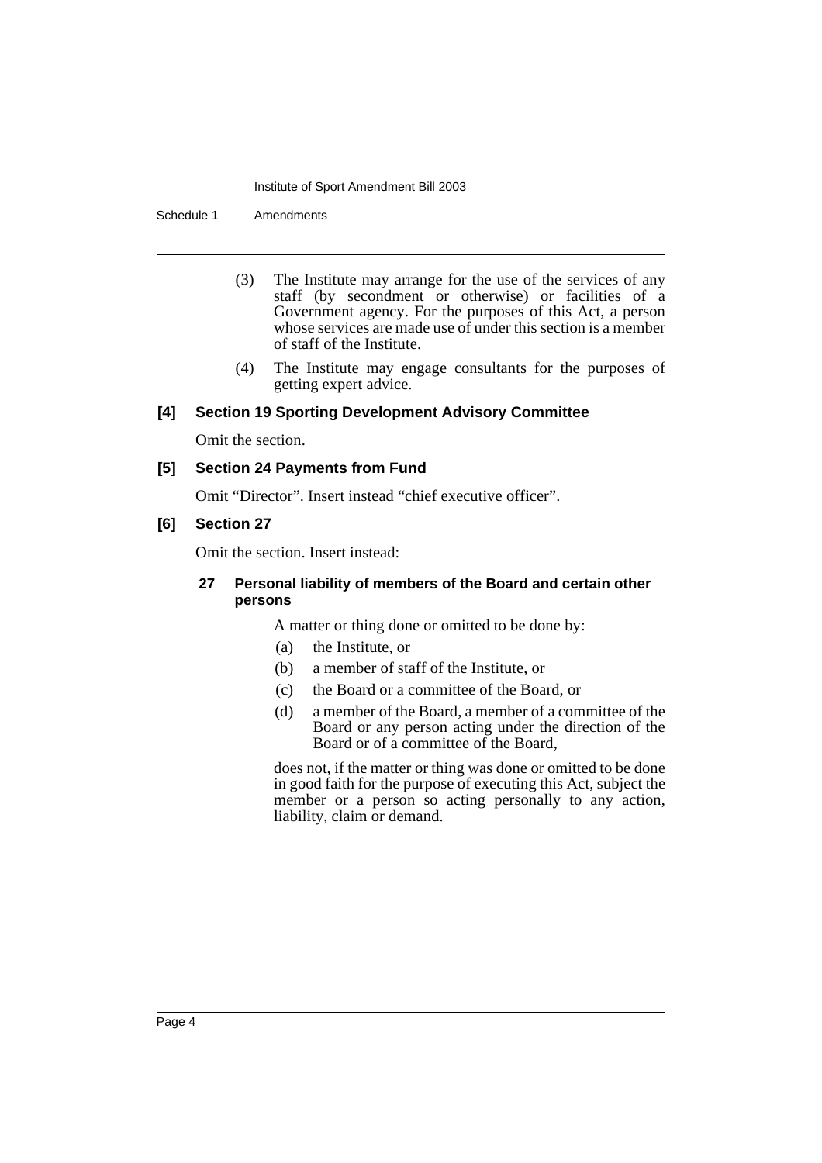#### Institute of Sport Amendment Bill 2003

Schedule 1 Amendments

- (3) The Institute may arrange for the use of the services of any staff (by secondment or otherwise) or facilities of a Government agency. For the purposes of this Act, a person whose services are made use of under this section is a member of staff of the Institute.
- (4) The Institute may engage consultants for the purposes of getting expert advice.

#### **[4] Section 19 Sporting Development Advisory Committee**

Omit the section.

#### **[5] Section 24 Payments from Fund**

Omit "Director". Insert instead "chief executive officer".

#### **[6] Section 27**

Omit the section. Insert instead:

#### **27 Personal liability of members of the Board and certain other persons**

A matter or thing done or omitted to be done by:

- (a) the Institute, or
- (b) a member of staff of the Institute, or
- (c) the Board or a committee of the Board, or
- (d) a member of the Board, a member of a committee of the Board or any person acting under the direction of the Board or of a committee of the Board,

does not, if the matter or thing was done or omitted to be done in good faith for the purpose of executing this Act, subject the member or a person so acting personally to any action, liability, claim or demand.